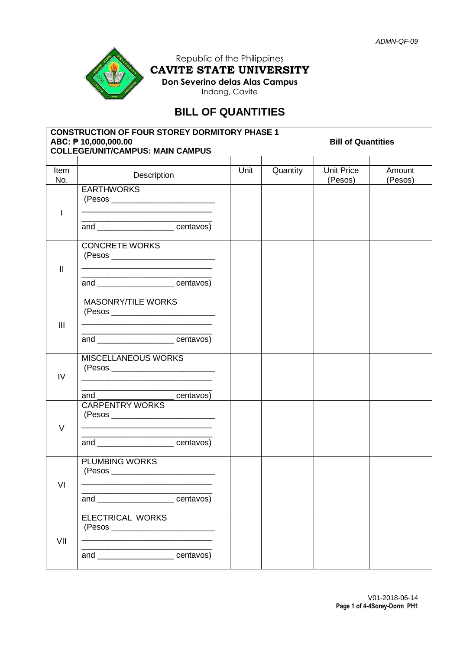

Republic of the Philippines **CAVITE STATE UNIVERSITY Don Severino delas Alas Campus** Indang, Cavite

## **BILL OF QUANTITIES**

| <b>CONSTRUCTION OF FOUR STOREY DORMITORY PHASE 1</b><br>ABC: ₱ 10,000,000.00<br><b>Bill of Quantities</b><br><b>COLLEGE/UNIT/CAMPUS: MAIN CAMPUS</b> |                                                                                                                               |      |          |                              |                   |  |  |
|------------------------------------------------------------------------------------------------------------------------------------------------------|-------------------------------------------------------------------------------------------------------------------------------|------|----------|------------------------------|-------------------|--|--|
| Item<br>No.                                                                                                                                          | Description                                                                                                                   | Unit | Quantity | <b>Unit Price</b><br>(Pesos) | Amount<br>(Pesos) |  |  |
| I                                                                                                                                                    | <b>EARTHWORKS</b><br><u> 1989 - Johann Stoff, amerikansk politiker (d. 1989)</u>                                              |      |          |                              |                   |  |  |
|                                                                                                                                                      | and _______________________centavos)                                                                                          |      |          |                              |                   |  |  |
|                                                                                                                                                      | <b>CONCRETE WORKS</b>                                                                                                         |      |          |                              |                   |  |  |
| $\mathbf{I}$                                                                                                                                         | and _______________________centavos)                                                                                          |      |          |                              |                   |  |  |
| $\mathbf{III}$                                                                                                                                       | <b>MASONRY/TILE WORKS</b><br>(Pesos __________________________<br><u> 1989 - Johann Stoff, amerikansk politiker (d. 1989)</u> |      |          |                              |                   |  |  |
|                                                                                                                                                      | and ________________________centavos)<br>MISCELLANEOUS WORKS                                                                  |      |          |                              |                   |  |  |
| IV                                                                                                                                                   | and _______________________ centavos)                                                                                         |      |          |                              |                   |  |  |
| $\vee$                                                                                                                                               | <b>CARPENTRY WORKS</b>                                                                                                        |      |          |                              |                   |  |  |
|                                                                                                                                                      | and _______________________centavos)                                                                                          |      |          |                              |                   |  |  |
| VI                                                                                                                                                   | <b>PLUMBING WORKS</b><br>(Pesos                                                                                               |      |          |                              |                   |  |  |
|                                                                                                                                                      | and centavos)                                                                                                                 |      |          |                              |                   |  |  |
| VII                                                                                                                                                  | <b>ELECTRICAL WORKS</b>                                                                                                       |      |          |                              |                   |  |  |
|                                                                                                                                                      | and _______________________centavos)                                                                                          |      |          |                              |                   |  |  |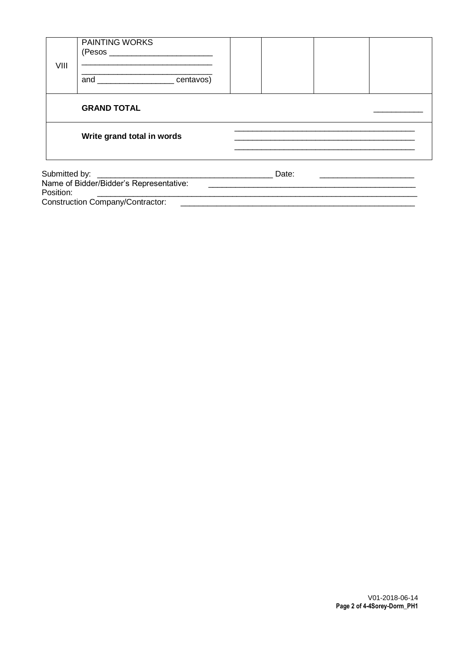| VIII | <b>PAINTING WORKS</b><br>and centavos)  |       |  |
|------|-----------------------------------------|-------|--|
|      | <b>GRAND TOTAL</b>                      |       |  |
|      | Write grand total in words              |       |  |
|      | Name of Bidder/Bidder's Representative: | Date: |  |

<u> 2008 - Jan Barnett, amerikansk politik (d. 1888)</u>

Position: Construction Company/Contractor:

V01-2018-06-14<br>Page 2 of 4-4Sorey-Dorm\_PH1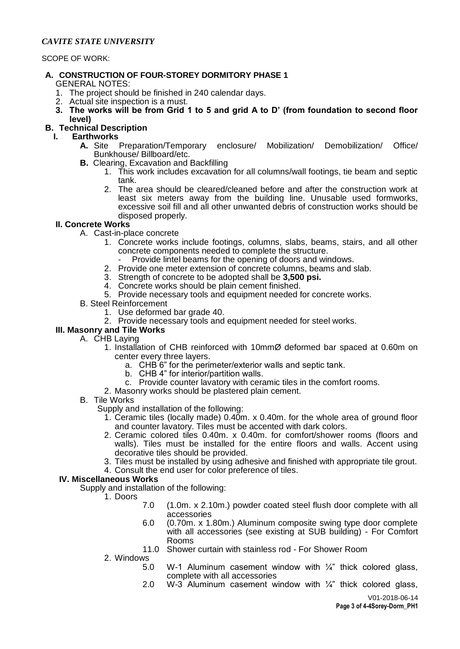#### *CAVITE STATE UNIVERSITY*

SCOPE OF WORK:

# **A. CONSTRUCTION OF FOUR-STOREY DORMITORY PHASE 1**

GENERAL NOTES:

- 1. The project should be finished in 240 calendar days.
- 2. Actual site inspection is a must.
- **3. The works will be from Grid 1 to 5 and grid A to D' (from foundation to second floor level)**

## **B. Technical Description**

- **I. Earthworks**
	- **A.** Site Preparation/Temporary enclosure/ Mobilization/ Demobilization/ Office/ Bunkhouse/ Billboard/etc.
	- **B.** Clearing, Excavation and Backfilling
		- 1. This work includes excavation for all columns/wall footings, tie beam and septic tank.
		- 2. The area should be cleared/cleaned before and after the construction work at least six meters away from the building line. Unusable used formworks, excessive soil fill and all other unwanted debris of construction works should be disposed properly.

#### **II. Concrete Works**

- A. Cast-in-place concrete
	- 1. Concrete works include footings, columns, slabs, beams, stairs, and all other concrete components needed to complete the structure.
		- Provide lintel beams for the opening of doors and windows.
	- 2. Provide one meter extension of concrete columns, beams and slab.
	- 3. Strength of concrete to be adopted shall be **3,500 psi.**
	- 4. Concrete works should be plain cement finished.
	- 5. Provide necessary tools and equipment needed for concrete works.
- B. Steel Reinforcement
	- 1. Use deformed bar grade 40.
	- 2. Provide necessary tools and equipment needed for steel works.

## **III. Masonry and Tile Works**

- A. CHB Laying
	- 1. Installation of CHB reinforced with 10mmØ deformed bar spaced at 0.60m on center every three layers.
		- a. CHB 6" for the perimeter/exterior walls and septic tank.
		- b. CHB 4" for interior/partition walls.
		- c. Provide counter lavatory with ceramic tiles in the comfort rooms.
	- 2. Masonry works should be plastered plain cement.

#### B. Tile Works

Supply and installation of the following:

- 1. Ceramic tiles (locally made) 0.40m. x 0.40m. for the whole area of ground floor and counter lavatory. Tiles must be accented with dark colors.
- 2. Ceramic colored tiles 0.40m. x 0.40m. for comfort/shower rooms (floors and walls). Tiles must be installed for the entire floors and walls. Accent using decorative tiles should be provided.
- 3. Tiles must be installed by using adhesive and finished with appropriate tile grout.
- 4. Consult the end user for color preference of tiles.

#### **IV. Miscellaneous Works**

Supply and installation of the following:

- 1. Doors
	- 7.0 (1.0m. x 2.10m.) powder coated steel flush door complete with all accessories
	- 6.0 (0.70m. x 1.80m.) Aluminum composite swing type door complete with all accessories (see existing at SUB building) - For Comfort Rooms
	- 11.0 Shower curtain with stainless rod For Shower Room
- 2. Windows
	- 5.0 W-1 Aluminum casement window with  $\frac{1}{4}$ " thick colored glass, complete with all accessories
	- 2.0 W-3 Aluminum casement window with  $\frac{1}{4}$ " thick colored glass,